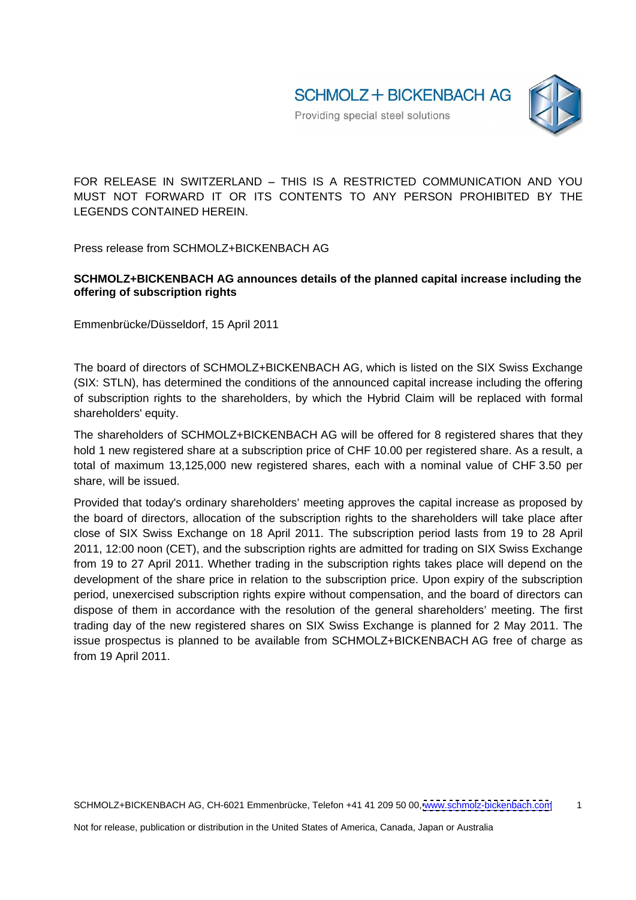

FOR RELEASE IN SWITZERLAND - THIS IS A RESTRICTED COMMUNICATION AND YOU MUST NOT FORWARD IT OR ITS CONTENTS TO ANY PERSON PROHIBITED BY THE LEGENDS CONTAINED HEREIN.

Press release from SCHMOLZ+BICKENBACH AG

## **SCHMOLZ+BICKENBACH AG announces details of the planned capital increase including the offering of subscription rights**

Emmenbrücke/Düsseldorf, 15 April 2011

The board of directors of SCHMOLZ+BICKENBACH AG, which is listed on the SIX Swiss Exchange (SIX: STLN), has determined the conditions of the announced capital increase including the offering of subscription rights to the shareholders, by which the Hybrid Claim will be replaced with formal shareholders' equity.

The shareholders of SCHMOLZ+BICKENBACH AG will be offered for 8 registered shares that they hold 1 new registered share at a subscription price of CHF 10.00 per registered share. As a result, a total of maximum 13,125,000 new registered shares, each with a nominal value of CHF 3.50 per share, will be issued.

Provided that today's ordinary shareholders' meeting approves the capital increase as proposed by the board of directors, allocation of the subscription rights to the shareholders will take place after close of SIX Swiss Exchange on 18 April 2011. The subscription period lasts from 19 to 28 April 2011, 12:00 noon (CET), and the subscription rights are admitted for trading on SIX Swiss Exchange from 19 to 27 April 2011. Whether trading in the subscription rights takes place will depend on the development of the share price in relation to the subscription price. Upon expiry of the subscription period, unexercised subscription rights expire without compensation, and the board of directors can dispose of them in accordance with the resolution of the general shareholders' meeting. The first trading day of the new registered shares on SIX Swiss Exchange is planned for 2 May 2011. The issue prospectus is planned to be available from SCHMOLZ+BICKENBACH AG free of charge as from 19 April 2011.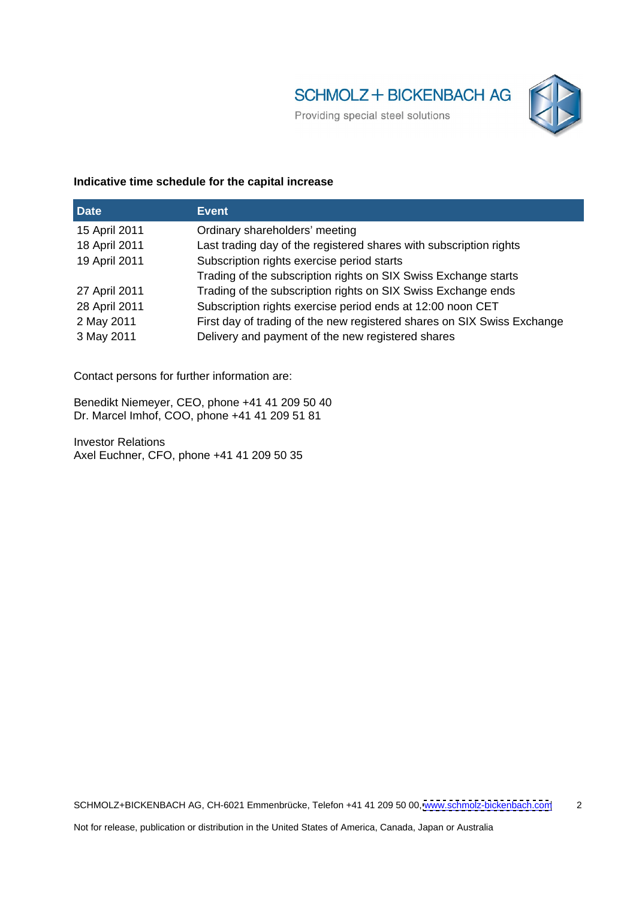

## **Indicative time schedule for the capital increase**

| <b>Date</b>   | <b>LEvent</b>                                                           |
|---------------|-------------------------------------------------------------------------|
| 15 April 2011 | Ordinary shareholders' meeting                                          |
| 18 April 2011 | Last trading day of the registered shares with subscription rights      |
| 19 April 2011 | Subscription rights exercise period starts                              |
|               | Trading of the subscription rights on SIX Swiss Exchange starts         |
| 27 April 2011 | Trading of the subscription rights on SIX Swiss Exchange ends           |
| 28 April 2011 | Subscription rights exercise period ends at 12:00 noon CET              |
| 2 May 2011    | First day of trading of the new registered shares on SIX Swiss Exchange |
| 3 May 2011    | Delivery and payment of the new registered shares                       |

Contact persons for further information are:

Benedikt Niemeyer, CEO, phone +41 41 209 50 40 Dr. Marcel Imhof, COO, phone +41 41 209 51 81

Investor Relations Axel Euchner, CFO, phone +41 41 209 50 35